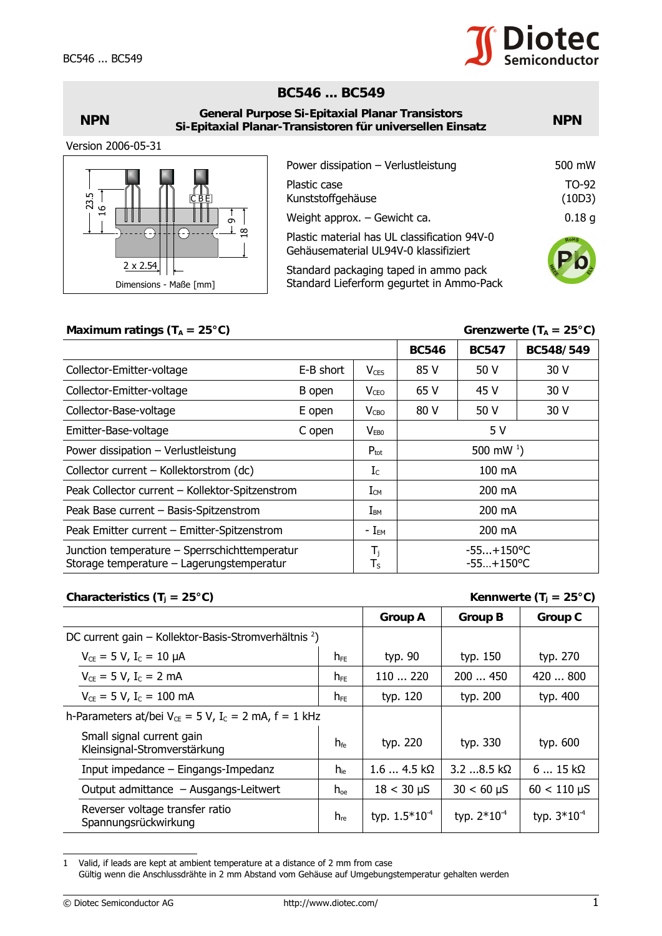## **BC546 ... BC549**

| <b>General Purpose Si-Epitaxial Planar Transistors</b><br><b>NPN</b><br>Si-Epitaxial Planar-Transistoren für universellen Einsatz |                                                                                                         |                   |
|-----------------------------------------------------------------------------------------------------------------------------------|---------------------------------------------------------------------------------------------------------|-------------------|
| Version 2006-05-31                                                                                                                |                                                                                                         |                   |
|                                                                                                                                   | Power dissipation - Verlustleistung                                                                     | 500 mW            |
| 23.5<br>CBE                                                                                                                       | Plastic case<br>Kunststoffgehäuse                                                                       | TO-92<br>(10D3)   |
| $\circ$<br>ᆸ                                                                                                                      | Weight approx. $-$ Gewicht ca.<br>$\sigma$                                                              | 0.18 <sub>g</sub> |
|                                                                                                                                   | $\frac{8}{18}$<br>Plastic material has UL classification 94V-0<br>Gehäusematerial UL94V-0 klassifiziert | RoHS              |
| $2 \times 2.54$<br>Dimensions - Maße [mm]                                                                                         | Standard packaging taped in ammo pack<br>Standard Lieferform gegurtet in Ammo-Pack                      |                   |

## Maximum ratings  $(T_A = 25^{\circ}C)$  Grenzwerte  $(T_A = 25^{\circ}C)$

| ິ 1<br> <br>Ō                                                                                                                                                                                                            |                                                                                       | 0.18 <sub>g</sub><br>Weight approx. $-$ Gewicht ca. |                              |                                           |                                    |  |
|--------------------------------------------------------------------------------------------------------------------------------------------------------------------------------------------------------------------------|---------------------------------------------------------------------------------------|-----------------------------------------------------|------------------------------|-------------------------------------------|------------------------------------|--|
| ⊥ ¤<br>$\bigcirc$<br>∩                                                                                                                                                                                                   | Plastic material has UL classification 94V-0<br>Gehäusematerial UL94V-0 klassifiziert |                                                     |                              |                                           |                                    |  |
| $2 \times 2.54$                                                                                                                                                                                                          | Standard packaging taped in ammo pack                                                 |                                                     |                              |                                           |                                    |  |
| Dimensions - Maße [mm]                                                                                                                                                                                                   |                                                                                       |                                                     |                              | Standard Lieferform gegurtet in Ammo-Pack |                                    |  |
|                                                                                                                                                                                                                          |                                                                                       |                                                     |                              |                                           |                                    |  |
| Maximum ratings ( $T_A = 25^{\circ}C$ )                                                                                                                                                                                  |                                                                                       |                                                     |                              |                                           | Grenzwerte ( $T_A = 25^{\circ}C$ ) |  |
|                                                                                                                                                                                                                          |                                                                                       |                                                     | <b>BC546</b>                 | <b>BC547</b>                              | BC548/549                          |  |
| Collector-Emitter-voltage                                                                                                                                                                                                | E-B short                                                                             |                                                     | 85 V                         | 50 V                                      | 30 V                               |  |
| Collector-Emitter-voltage                                                                                                                                                                                                | B open                                                                                | V <sub>CEO</sub>                                    | 65 V                         | 45 V                                      | 30 V                               |  |
| Collector-Base-voltage<br>E open                                                                                                                                                                                         |                                                                                       | $V_{CBO}$                                           | 80 V<br>50 V                 |                                           | 30 V                               |  |
| Emitter-Base-voltage<br>C open                                                                                                                                                                                           |                                                                                       | V <sub>EB0</sub>                                    | 5V                           |                                           |                                    |  |
| Power dissipation - Verlustleistung                                                                                                                                                                                      |                                                                                       | $P_{\text{tot}}$                                    | 500 mW $^{1}$ )              |                                           |                                    |  |
| Collector current - Kollektorstrom (dc)                                                                                                                                                                                  |                                                                                       | $I_c$                                               | 100 mA                       |                                           |                                    |  |
| Peak Collector current - Kollektor-Spitzenstrom                                                                                                                                                                          |                                                                                       | $I_{CM}$                                            | 200 mA                       |                                           |                                    |  |
| Peak Base current - Basis-Spitzenstrom                                                                                                                                                                                   |                                                                                       | $I_{BM}$                                            | 200 mA                       |                                           |                                    |  |
| Peak Emitter current - Emitter-Spitzenstrom                                                                                                                                                                              |                                                                                       | - $I_{\text{EM}}$                                   | 200 mA                       |                                           |                                    |  |
| Junction temperature - Sperrschichttemperatur<br>Storage temperature - Lagerungstemperatur                                                                                                                               |                                                                                       | $T_{j}$<br>$T_S$                                    | $-55+150$ °C<br>$-55+150$ °C |                                           |                                    |  |
| Kennwerte (T <sub>i</sub> = 25°C)<br>Characteristics (T <sub>j</sub> = 25°C)                                                                                                                                             |                                                                                       |                                                     |                              |                                           |                                    |  |
|                                                                                                                                                                                                                          |                                                                                       |                                                     | <b>Group A</b>               | <b>Group B</b>                            | <b>Group C</b>                     |  |
| DC current gain – Kollektor-Basis-Stromverhältnis <sup>2</sup> )                                                                                                                                                         |                                                                                       |                                                     |                              |                                           |                                    |  |
| $V_{CE} = 5 V$ , $I_C = 10 \mu A$                                                                                                                                                                                        | $h_{FE}$                                                                              | typ. 90                                             |                              | typ. 150                                  | typ. 270                           |  |
| $V_{CE} = 5 V$ , I <sub>C</sub> = 2 mA                                                                                                                                                                                   | $h_{FE}$                                                                              | 110  220                                            |                              | 200  450                                  | 420  800                           |  |
| $V_{CE} = 5 V, I_C = 100 \text{ mA}$<br>$h_{FE}$                                                                                                                                                                         |                                                                                       |                                                     | typ. 120                     | typ. 200                                  | typ. 400                           |  |
| h-Parameters at/bei $V_{CE} = 5 V$ , I <sub>c</sub> = 2 mA, f = 1 kHz                                                                                                                                                    |                                                                                       |                                                     |                              |                                           |                                    |  |
| Small signal current gain<br>Kleinsignal-Stromverstärkung                                                                                                                                                                | $h_{\text{fe}}$                                                                       | typ. 220                                            |                              | typ. 330                                  | typ. 600                           |  |
| Input impedance - Eingangs-Impedanz                                                                                                                                                                                      | $h_{ie}$                                                                              |                                                     | $1.64.5 k\Omega$             | 3.2 8.5 kΩ                                | $615k\Omega$                       |  |
| Output admittance - Ausgangs-Leitwert                                                                                                                                                                                    | $h_{oe}$                                                                              |                                                     | $18 < 30 \mu S$              | $30 < 60 \mu S$                           | $60 < 110 \,\mu S$                 |  |
| Reverser voltage transfer ratio<br>Spannungsrückwirkung                                                                                                                                                                  | $h_{\text{re}}$                                                                       | typ. $1.5*10^{-4}$                                  |                              | typ. 2*10 <sup>-4</sup>                   | typ. $3*10^{-4}$                   |  |
| 1<br>Valid, if leads are kept at ambient temperature at a distance of 2 mm from case<br>Gültig wenn die Anschlussdrähte in 2 mm Abstand vom Gehäuse auf Umgebungstemperatur gehalten werden<br>© Diotec Semiconductor AG | http://www.diotec.com/                                                                |                                                     |                              |                                           |                                    |  |

## **Characteristics (T<sub>j</sub> = 25°C) Kennwerte (T<sub>j</sub> = 25°C)**

|                                                                       |                 | <b>Group A</b>     | <b>Group B</b>   | <b>Group C</b>   |
|-----------------------------------------------------------------------|-----------------|--------------------|------------------|------------------|
| DC current gain – Kollektor-Basis-Stromverhältnis $2$ )               |                 |                    |                  |                  |
| $V_{CE} = 5 V$ , $I_C = 10 \mu A$                                     | $h_{FE}$        | typ. 90            | typ. 150         | typ. 270         |
| $V_{CE} = 5 V$ , $I_C = 2 mA$                                         | $h_{FE}$        | 110220             | 200450           | 420800           |
| $V_{CE} = 5 V$ , I <sub>C</sub> = 100 mA                              | $h_{FE}$        | typ. 120           | typ. 200         | typ. 400         |
| h-Parameters at/bei $V_{CE} = 5 V$ , I <sub>c</sub> = 2 mA, f = 1 kHz |                 |                    |                  |                  |
| Small signal current gain<br>Kleinsignal-Stromverstärkung             | $h_{\text{fe}}$ | typ. 220           | typ. 330         | typ. 600         |
| Input impedance $-$ Eingangs-Impedanz                                 | $h_{\text{ie}}$ | $1.64.5 k\Omega$   | $3.2$ 8.5 kΩ     | $615k\Omega$     |
| Output admittance - Ausgangs-Leitwert                                 | $h_{oe}$        | $18 < 30 \mu S$    | $30 < 60 \mu S$  | $60 < 110 \mu S$ |
| Reverser voltage transfer ratio<br>Spannungsrückwirkung               | $h_{\text{re}}$ | typ. $1.5*10^{-4}$ | typ. $2*10^{-4}$ | typ. $3*10^{-4}$ |

<sup>1</sup> Valid, if leads are kept at ambient temperature at a distance of 2 mm from case

Gültig wenn die Anschlussdrähte in 2 mm Abstand vom Gehäuse auf Umgebungstemperatur gehalten werden